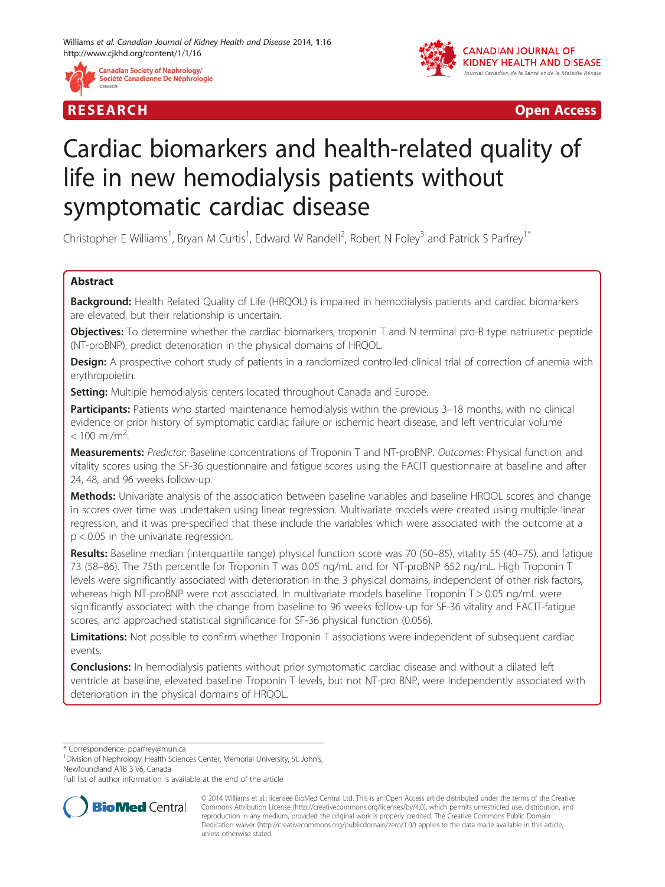



R E S EAR CH Open Access

# Cardiac biomarkers and health-related quality of life in new hemodialysis patients without symptomatic cardiac disease

Christopher E Williams<sup>1</sup>, Bryan M Curtis<sup>1</sup>, Edward W Randell<sup>2</sup>, Robert N Foley<sup>3</sup> and Patrick S Parfrey<sup>1\*</sup>

# Abstract

Background: Health Related Quality of Life (HRQOL) is impaired in hemodialysis patients and cardiac biomarkers are elevated, but their relationship is uncertain.

Objectives: To determine whether the cardiac biomarkers, troponin T and N terminal pro-B type natriuretic peptide (NT-proBNP), predict deterioration in the physical domains of HRQOL.

Design: A prospective cohort study of patients in a randomized controlled clinical trial of correction of anemia with erythropoietin.

**Setting:** Multiple hemodialysis centers located throughout Canada and Europe.

Participants: Patients who started maintenance hemodialysis within the previous 3-18 months, with no clinical evidence or prior history of symptomatic cardiac failure or ischemic heart disease, and left ventricular volume  $< 100$  ml/m<sup>2</sup>. .

Measurements: Predictor: Baseline concentrations of Troponin T and NT-proBNP. Outcomes: Physical function and vitality scores using the SF-36 questionnaire and fatigue scores using the FACIT questionnaire at baseline and after 24, 48, and 96 weeks follow-up.

Methods: Univariate analysis of the association between baseline variables and baseline HRQOL scores and change in scores over time was undertaken using linear regression. Multivariate models were created using multiple linear regression, and it was pre-specified that these include the variables which were associated with the outcome at a p < 0.05 in the univariate regression.

Results: Baseline median (interquartile range) physical function score was 70 (50-85), vitality 55 (40-75), and fatigue 73 (58–86). The 75th percentile for Troponin T was 0.05 ng/mL and for NT-proBNP 652 ng/mL. High Troponin T levels were significantly associated with deterioration in the 3 physical domains, independent of other risk factors, whereas high NT-proBNP were not associated. In multivariate models baseline Troponin T > 0.05 ng/mL were significantly associated with the change from baseline to 96 weeks follow-up for SF-36 vitality and FACIT-fatigue scores, and approached statistical significance for SF-36 physical function (0.056).

Limitations: Not possible to confirm whether Troponin T associations were independent of subsequent cardiac events.

**Conclusions:** In hemodialysis patients without prior symptomatic cardiac disease and without a dilated left ventricle at baseline, elevated baseline Troponin T levels, but not NT-pro BNP, were independently associated with deterioration in the physical domains of HRQOL.

\* Correspondence: [pparfrey@mun.ca](mailto:pparfrey@mun.ca) <sup>1</sup>

<sup>1</sup> Division of Nephrology, Health Sciences Center, Memorial University, St. John's, Newfoundland A1B 3 V6, Canada

Full list of author information is available at the end of the article



<sup>© 2014</sup> Williams et al.; licensee BioMed Central Ltd. This is an Open Access article distributed under the terms of the Creative Commons Attribution License [\(http://creativecommons.org/licenses/by/4.0\)](http://creativecommons.org/licenses/by/4.0), which permits unrestricted use, distribution, and reproduction in any medium, provided the original work is properly credited. The Creative Commons Public Domain Dedication waiver [\(http://creativecommons.org/publicdomain/zero/1.0/](http://creativecommons.org/publicdomain/zero/1.0/)) applies to the data made available in this article, unless otherwise stated.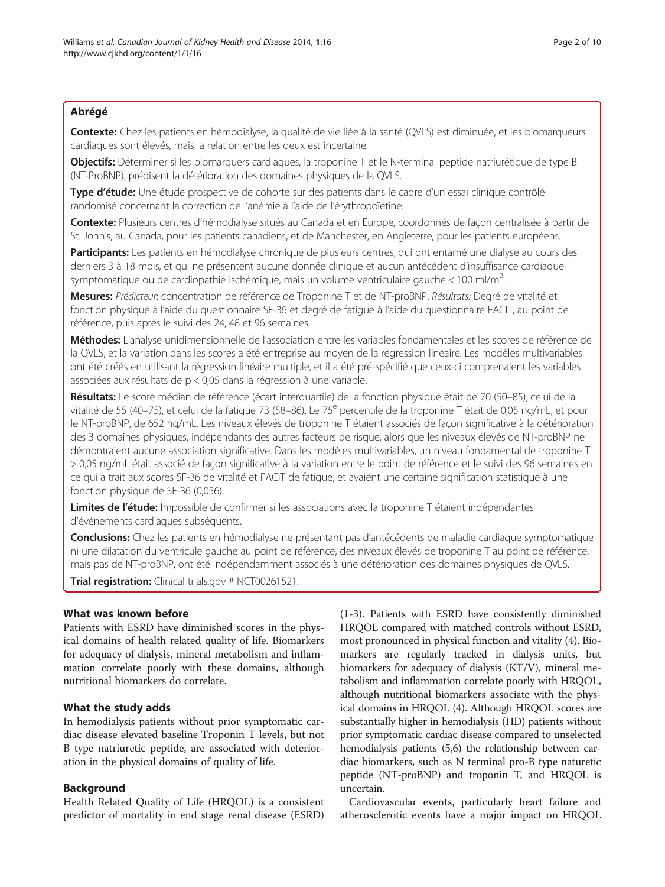# Abrégé

Contexte: Chez les patients en hémodialyse, la qualité de vie liée à la santé (QVLS) est diminuée, et les biomarqueurs cardiaques sont élevés, mais la relation entre les deux est incertaine.

Objectifs: Déterminer si les biomarquers cardiaques, la troponine T et le N-terminal peptide natriurétique de type B (NT-ProBNP), prédisent la détérioration des domaines physiques de la QVLS.

Type d'étude: Une étude prospective de cohorte sur des patients dans le cadre d'un essai clinique contrôlé randomisé concernant la correction de l'anémie à l'aide de l'érythropoïétine.

Contexte: Plusieurs centres d'hémodialyse situés au Canada et en Europe, coordonnés de façon centralisée à partir de St. John's, au Canada, pour les patients canadiens, et de Manchester, en Angleterre, pour les patients européens.

Participants: Les patients en hémodialyse chronique de plusieurs centres, qui ont entamé une dialyse au cours des derniers 3 à 18 mois, et qui ne présentent aucune donnée clinique et aucun antécédent d'insuffisance cardiaque symptomatique ou de cardiopathie ischémique, mais un volume ventriculaire gauche < 100 ml/m<sup>2</sup>. .

Mesures: Prédicteur: concentration de référence de Troponine T et de NT-proBNP. Résultats: Degré de vitalité et fonction physique à l'aide du questionnaire SF-36 et degré de fatigue à l'aide du questionnaire FACIT, au point de référence, puis après le suivi des 24, 48 et 96 semaines.

Méthodes: L'analyse unidimensionnelle de l'association entre les variables fondamentales et les scores de référence de la QVLS, et la variation dans les scores a été entreprise au moyen de la régression linéaire. Les modèles multivariables ont été créés en utilisant la régression linéaire multiple, et il a été pré-spécifié que ceux-ci comprenaient les variables associées aux résultats de p < 0,05 dans la régression à une variable.

Résultats: Le score médian de référence (écart interquartile) de la fonction physique était de 70 (50–85), celui de la vitalité de 55 (40–75), et celui de la fatigue 73 (58–86). Le 75<sup>e</sup> percentile de la troponine T était de 0,05 ng/mL, et pour le NT-proBNP, de 652 ng/mL. Les niveaux élevés de troponine T étaient associés de façon significative à la détérioration des 3 domaines physiques, indépendants des autres facteurs de risque, alors que les niveaux élevés de NT-proBNP ne démontraient aucune association significative. Dans les modèles multivariables, un niveau fondamental de troponine T > 0,05 ng/mL était associé de façon significative à la variation entre le point de référence et le suivi des 96 semaines en ce qui a trait aux scores SF-36 de vitalité et FACIT de fatigue, et avaient une certaine signification statistique à une fonction physique de SF-36 (0,056).

Limites de l'étude: Impossible de confirmer si les associations avec la troponine T étaient indépendantes d'événements cardiaques subséquents.

**Conclusions:** Chez les patients en hémodialyse ne présentant pas d'antécédents de maladie cardiaque symptomatique ni une dilatation du ventricule gauche au point de référence, des niveaux élevés de troponine T au point de référence, mais pas de NT-proBNP, ont été indépendamment associés à une détérioration des domaines physiques de QVLS.

**Trial registration:** Clinical trials.gov # [NCT00261521](http://clinicaltrials.gov/ct2/show/NCT00261521).

# What was known before

Patients with ESRD have diminished scores in the physical domains of health related quality of life. Biomarkers for adequacy of dialysis, mineral metabolism and inflammation correlate poorly with these domains, although nutritional biomarkers do correlate.

# What the study adds

In hemodialysis patients without prior symptomatic cardiac disease elevated baseline Troponin T levels, but not B type natriuretic peptide, are associated with deterioration in the physical domains of quality of life.

# Background

Health Related Quality of Life (HRQOL) is a consistent predictor of mortality in end stage renal disease (ESRD)

([1-3](#page-9-0)). Patients with ESRD have consistently diminished HRQOL compared with matched controls without ESRD, most pronounced in physical function and vitality [\(4](#page-9-0)). Biomarkers are regularly tracked in dialysis units, but biomarkers for adequacy of dialysis (KT/V), mineral metabolism and inflammation correlate poorly with HRQOL, although nutritional biomarkers associate with the physical domains in HRQOL ([4](#page-9-0)). Although HRQOL scores are substantially higher in hemodialysis (HD) patients without prior symptomatic cardiac disease compared to unselected hemodialysis patients ([5,6](#page-9-0)) the relationship between cardiac biomarkers, such as N terminal pro-B type naturetic peptide (NT-proBNP) and troponin T, and HRQOL is uncertain.

Cardiovascular events, particularly heart failure and atherosclerotic events have a major impact on HRQOL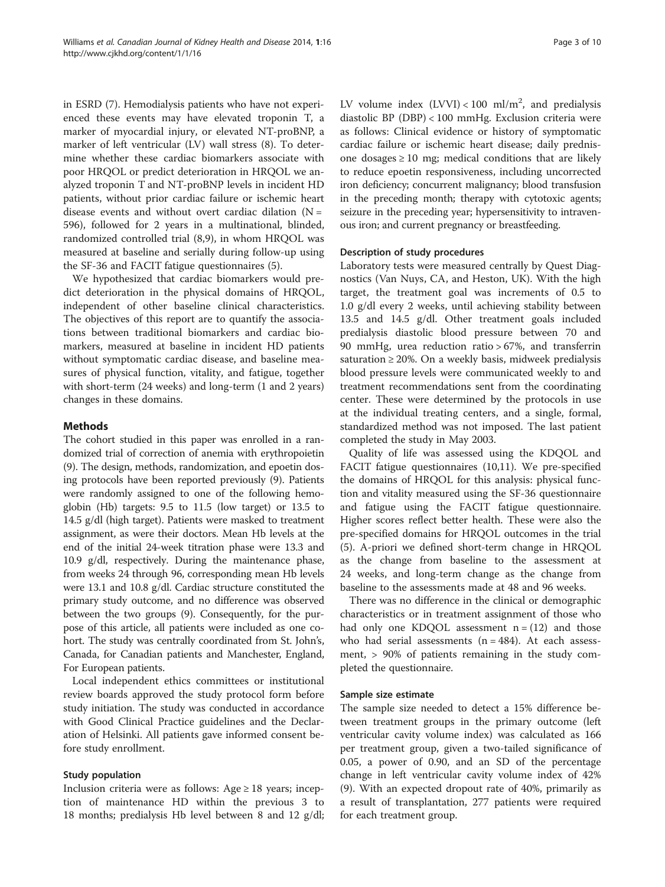in ESRD ([7\)](#page-9-0). Hemodialysis patients who have not experienced these events may have elevated troponin T, a marker of myocardial injury, or elevated NT-proBNP, a marker of left ventricular (LV) wall stress [\(8\)](#page-9-0). To determine whether these cardiac biomarkers associate with poor HRQOL or predict deterioration in HRQOL we analyzed troponin T and NT-proBNP levels in incident HD patients, without prior cardiac failure or ischemic heart disease events and without overt cardiac dilation  $(N =$ 596), followed for 2 years in a multinational, blinded, randomized controlled trial ([8](#page-9-0),[9\)](#page-9-0), in whom HRQOL was measured at baseline and serially during follow-up using the SF-36 and FACIT fatigue questionnaires ([5\)](#page-9-0).

We hypothesized that cardiac biomarkers would predict deterioration in the physical domains of HRQOL, independent of other baseline clinical characteristics. The objectives of this report are to quantify the associations between traditional biomarkers and cardiac biomarkers, measured at baseline in incident HD patients without symptomatic cardiac disease, and baseline measures of physical function, vitality, and fatigue, together with short-term (24 weeks) and long-term (1 and 2 years) changes in these domains.

# Methods

The cohort studied in this paper was enrolled in a randomized trial of correction of anemia with erythropoietin ([9\)](#page-9-0). The design, methods, randomization, and epoetin dosing protocols have been reported previously ([9\)](#page-9-0). Patients were randomly assigned to one of the following hemoglobin (Hb) targets: 9.5 to 11.5 (low target) or 13.5 to 14.5 g/dl (high target). Patients were masked to treatment assignment, as were their doctors. Mean Hb levels at the end of the initial 24-week titration phase were 13.3 and 10.9 g/dl, respectively. During the maintenance phase, from weeks 24 through 96, corresponding mean Hb levels were 13.1 and 10.8 g/dl. Cardiac structure constituted the primary study outcome, and no difference was observed between the two groups [\(9\)](#page-9-0). Consequently, for the purpose of this article, all patients were included as one cohort. The study was centrally coordinated from St. John's, Canada, for Canadian patients and Manchester, England, For European patients.

Local independent ethics committees or institutional review boards approved the study protocol form before study initiation. The study was conducted in accordance with Good Clinical Practice guidelines and the Declaration of Helsinki. All patients gave informed consent before study enrollment.

## Study population

Inclusion criteria were as follows: Age  $\geq$  18 years; inception of maintenance HD within the previous 3 to 18 months; predialysis Hb level between 8 and 12 g/dl;

LV volume index  $(LVVI) < 100$  ml/m<sup>2</sup>, and predialysis diastolic BP (DBP) < 100 mmHg. Exclusion criteria were as follows: Clinical evidence or history of symptomatic cardiac failure or ischemic heart disease; daily prednisone dosages  $\geq 10$  mg; medical conditions that are likely to reduce epoetin responsiveness, including uncorrected iron deficiency; concurrent malignancy; blood transfusion in the preceding month; therapy with cytotoxic agents; seizure in the preceding year; hypersensitivity to intravenous iron; and current pregnancy or breastfeeding.

## Description of study procedures

Laboratory tests were measured centrally by Quest Diagnostics (Van Nuys, CA, and Heston, UK). With the high target, the treatment goal was increments of 0.5 to 1.0 g/dl every 2 weeks, until achieving stability between 13.5 and 14.5 g/dl. Other treatment goals included predialysis diastolic blood pressure between 70 and 90 mmHg, urea reduction ratio > 67%, and transferrin saturation  $\geq 20\%$ . On a weekly basis, midweek predialysis blood pressure levels were communicated weekly to and treatment recommendations sent from the coordinating center. These were determined by the protocols in use at the individual treating centers, and a single, formal, standardized method was not imposed. The last patient completed the study in May 2003.

Quality of life was assessed using the KDQOL and FACIT fatigue questionnaires ([10](#page-9-0),[11](#page-9-0)). We pre-specified the domains of HRQOL for this analysis: physical function and vitality measured using the SF-36 questionnaire and fatigue using the FACIT fatigue questionnaire. Higher scores reflect better health. These were also the pre-specified domains for HRQOL outcomes in the trial ([5\)](#page-9-0). A-priori we defined short-term change in HRQOL as the change from baseline to the assessment at 24 weeks, and long-term change as the change from baseline to the assessments made at 48 and 96 weeks.

There was no difference in the clinical or demographic characteristics or in treatment assignment of those who had only one KDQOL assessment  $n = (12)$  $n = (12)$  and those who had serial assessments  $(n = 484)$ . At each assessment, > 90% of patients remaining in the study completed the questionnaire.

# Sample size estimate

The sample size needed to detect a 15% difference between treatment groups in the primary outcome (left ventricular cavity volume index) was calculated as 166 per treatment group, given a two-tailed significance of 0.05, a power of 0.90, and an SD of the percentage change in left ventricular cavity volume index of 42% ([9\)](#page-9-0). With an expected dropout rate of 40%, primarily as a result of transplantation, 277 patients were required for each treatment group.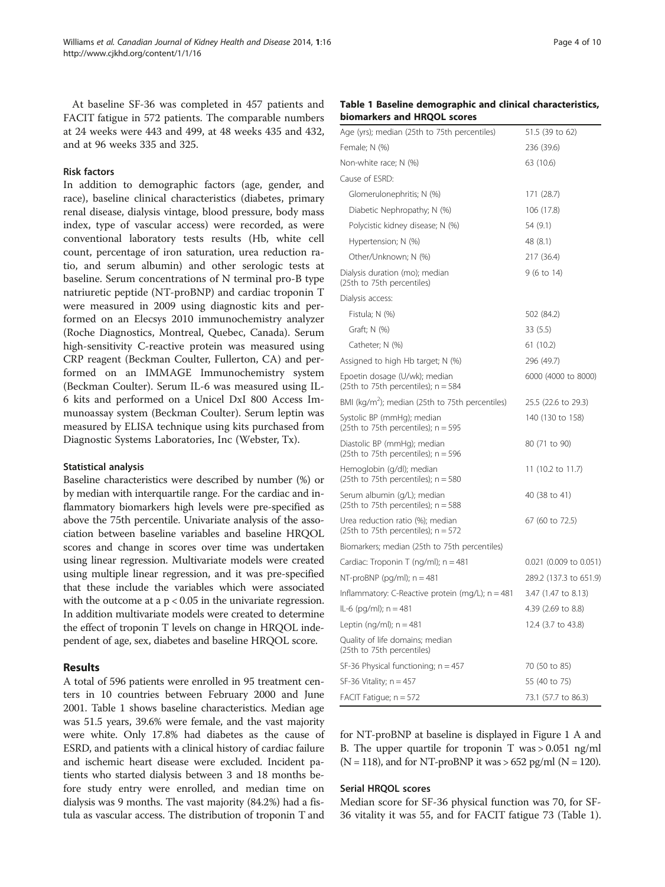At baseline SF-36 was completed in 457 patients and FACIT fatigue in 572 patients. The comparable numbers at 24 weeks were 443 and 499, at 48 weeks 435 and 432, and at 96 weeks 335 and 325.

## Risk factors

In addition to demographic factors (age, gender, and race), baseline clinical characteristics (diabetes, primary renal disease, dialysis vintage, blood pressure, body mass index, type of vascular access) were recorded, as were conventional laboratory tests results (Hb, white cell count, percentage of iron saturation, urea reduction ratio, and serum albumin) and other serologic tests at baseline. Serum concentrations of N terminal pro-B type natriuretic peptide (NT-proBNP) and cardiac troponin T were measured in 2009 using diagnostic kits and performed on an Elecsys 2010 immunochemistry analyzer (Roche Diagnostics, Montreal, Quebec, Canada). Serum high-sensitivity C-reactive protein was measured using CRP reagent (Beckman Coulter, Fullerton, CA) and performed on an IMMAGE Immunochemistry system (Beckman Coulter). Serum IL-6 was measured using IL-6 kits and performed on a Unicel DxI 800 Access Immunoassay system (Beckman Coulter). Serum leptin was measured by ELISA technique using kits purchased from Diagnostic Systems Laboratories, Inc (Webster, Tx).

#### Statistical analysis

Baseline characteristics were described by number (%) or by median with interquartile range. For the cardiac and inflammatory biomarkers high levels were pre-specified as above the 75th percentile. Univariate analysis of the association between baseline variables and baseline HRQOL scores and change in scores over time was undertaken using linear regression. Multivariate models were created using multiple linear regression, and it was pre-specified that these include the variables which were associated with the outcome at a  $p < 0.05$  in the univariate regression. In addition multivariate models were created to determine the effect of troponin T levels on change in HRQOL independent of age, sex, diabetes and baseline HRQOL score.

#### Results

A total of 596 patients were enrolled in 95 treatment centers in 10 countries between February 2000 and June 2001. Table 1 shows baseline characteristics. Median age was 51.5 years, 39.6% were female, and the vast majority were white. Only 17.8% had diabetes as the cause of ESRD, and patients with a clinical history of cardiac failure and ischemic heart disease were excluded. Incident patients who started dialysis between 3 and 18 months before study entry were enrolled, and median time on dialysis was 9 months. The vast majority (84.2%) had a fistula as vascular access. The distribution of troponin T and

#### Table 1 Baseline demographic and clinical characteristics, biomarkers and HRQOL scores

| Age (yrs); median (25th to 75th percentiles)                              | 51.5 (39 to 62)        |
|---------------------------------------------------------------------------|------------------------|
| Female; N (%)                                                             | 236 (39.6)             |
| Non-white race; N (%)                                                     | 63 (10.6)              |
| Cause of ESRD:                                                            |                        |
| Glomerulonephritis; N (%)                                                 | 171 (28.7)             |
| Diabetic Nephropathy; N (%)                                               | 106 (17.8)             |
| Polycistic kidney disease; N (%)                                          | 54 (9.1)               |
| Hypertension; N (%)                                                       | 48 (8.1)               |
| Other/Unknown; N (%)                                                      | 217 (36.4)             |
| Dialysis duration (mo); median<br>(25th to 75th percentiles)              | 9 (6 to 14)            |
| Dialysis access:                                                          |                        |
| Fistula; N (%)                                                            | 502 (84.2)             |
| Graft; N (%)                                                              | 33(5.5)                |
| Catheter; N (%)                                                           | 61 (10.2)              |
| Assigned to high Hb target; N (%)                                         | 296 (49.7)             |
| Epoetin dosage (U/wk); median<br>(25th to 75th percentiles); $n = 584$    | 6000 (4000 to 8000)    |
| BMI (kg/m <sup>2</sup> ); median (25th to 75th percentiles)               | 25.5 (22.6 to 29.3)    |
| Systolic BP (mmHg); median<br>(25th to 75th percentiles); $n = 595$       | 140 (130 to 158)       |
| Diastolic BP (mmHg); median<br>(25th to 75th percentiles); $n = 596$      | 80 (71 to 90)          |
| Hemoglobin (g/dl); median<br>(25th to 75th percentiles); $n = 580$        | 11 (10.2 to 11.7)      |
| Serum albumin (g/L); median<br>(25th to 75th percentiles); $n = 588$      | 40 (38 to 41)          |
| Urea reduction ratio (%); median<br>(25th to 75th percentiles); $n = 572$ | 67 (60 to 72.5)        |
| Biomarkers; median (25th to 75th percentiles)                             |                        |
| Cardiac: Troponin T (ng/ml); $n = 481$                                    | 0.021 (0.009 to 0.051) |
| NT-proBNP (pg/ml); $n = 481$                                              | 289.2 (137.3 to 651.9) |
| Inflammatory: C-Reactive protein (mg/L); $n = 481$                        | 3.47 (1.47 to 8.13)    |
| IL-6 (pg/ml); n = 481                                                     | 4.39 (2.69 to 8.8)     |
| Leptin (ng/ml); $n = 481$                                                 | 12.4 (3.7 to 43.8)     |
| Quality of life domains; median<br>(25th to 75th percentiles)             |                        |
| SF-36 Physical functioning; $n = 457$                                     | 70 (50 to 85)          |
| SF-36 Vitality; $n = 457$                                                 | 55 (40 to 75)          |
| FACIT Fatigue; $n = 572$                                                  | 73.1 (57.7 to 86.3)    |

for NT-proBNP at baseline is displayed in Figure [1](#page-4-0) A and B. The upper quartile for troponin T was > 0.051 ng/ml  $(N = 118)$ , and for NT-proBNP it was > 652 pg/ml  $(N = 120)$ .

#### Serial HRQOL scores

Median score for SF-36 physical function was 70, for SF-36 vitality it was 55, and for FACIT fatigue 73 (Table 1).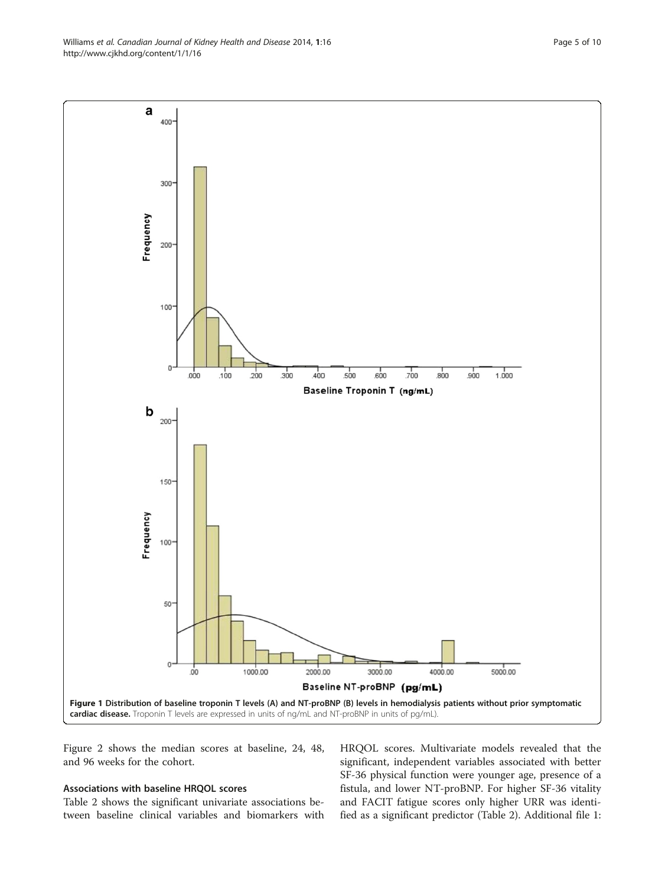Figure [2](#page-5-0) shows the median scores at baseline, 24, 48, and 96 weeks for the cohort.

#### Associations with baseline HRQOL scores

Table [2](#page-6-0) shows the significant univariate associations between baseline clinical variables and biomarkers with HRQOL scores. Multivariate models revealed that the significant, independent variables associated with better SF-36 physical function were younger age, presence of a fistula, and lower NT-proBNP. For higher SF-36 vitality and FACIT fatigue scores only higher URR was identified as a significant predictor (Table [2](#page-6-0)). Additional file [1](#page-9-0):

<span id="page-4-0"></span>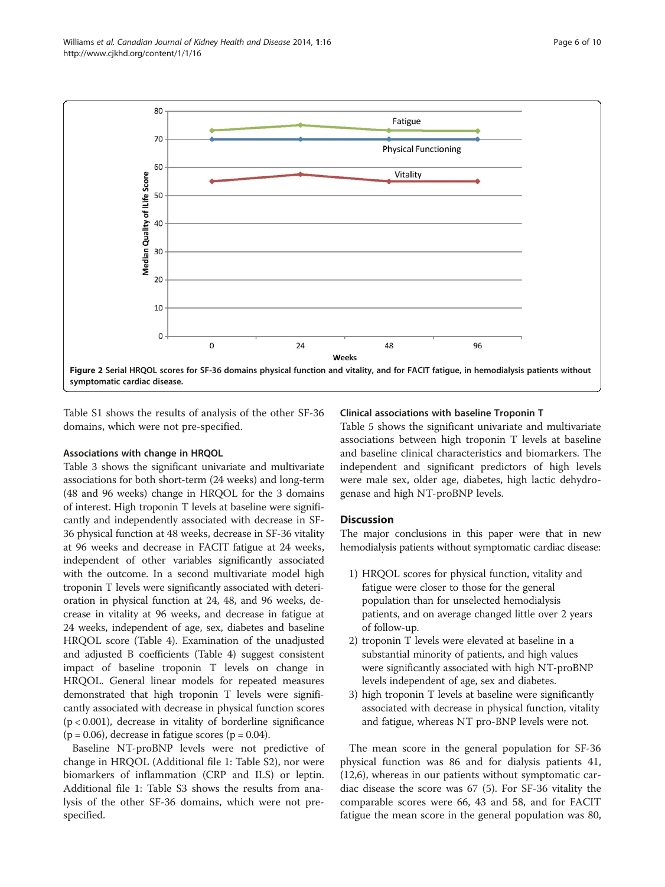<span id="page-5-0"></span>

Table S1 shows the results of analysis of the other SF-36 domains, which were not pre-specified.

## Associations with change in HRQOL

Table [3](#page-7-0) shows the significant univariate and multivariate associations for both short-term (24 weeks) and long-term (48 and 96 weeks) change in HRQOL for the 3 domains of interest. High troponin T levels at baseline were significantly and independently associated with decrease in SF-36 physical function at 48 weeks, decrease in SF-36 vitality at 96 weeks and decrease in FACIT fatigue at 24 weeks, independent of other variables significantly associated with the outcome. In a second multivariate model high troponin T levels were significantly associated with deterioration in physical function at 24, 48, and 96 weeks, decrease in vitality at 96 weeks, and decrease in fatigue at 24 weeks, independent of age, sex, diabetes and baseline HRQOL score (Table [4\)](#page-8-0). Examination of the unadjusted and adjusted B coefficients (Table [4](#page-8-0)) suggest consistent impact of baseline troponin T levels on change in HRQOL. General linear models for repeated measures demonstrated that high troponin T levels were significantly associated with decrease in physical function scores  $(p < 0.001)$ , decrease in vitality of borderline significance  $(p = 0.06)$ , decrease in fatigue scores  $(p = 0.04)$ .

Baseline NT-proBNP levels were not predictive of change in HRQOL (Additional file [1:](#page-9-0) Table S2), nor were biomarkers of inflammation (CRP and ILS) or leptin. Additional file [1](#page-9-0): Table S3 shows the results from analysis of the other SF-36 domains, which were not prespecified.

#### Clinical associations with baseline Troponin T

Table [5](#page-8-0) shows the significant univariate and multivariate associations between high troponin T levels at baseline and baseline clinical characteristics and biomarkers. The independent and significant predictors of high levels were male sex, older age, diabetes, high lactic dehydrogenase and high NT-proBNP levels.

## **Discussion**

The major conclusions in this paper were that in new hemodialysis patients without symptomatic cardiac disease:

- 1) HRQOL scores for physical function, vitality and fatigue were closer to those for the general population than for unselected hemodialysis patients, and on average changed little over 2 years of follow-up.
- 2) troponin T levels were elevated at baseline in a substantial minority of patients, and high values were significantly associated with high NT-proBNP levels independent of age, sex and diabetes.
- 3) high troponin T levels at baseline were significantly associated with decrease in physical function, vitality and fatigue, whereas NT pro-BNP levels were not.

The mean score in the general population for SF-36 physical function was 86 and for dialysis patients 41, ([12,6\)](#page-9-0), whereas in our patients without symptomatic cardiac disease the score was 67 [\(5](#page-9-0)). For SF-36 vitality the comparable scores were 66, 43 and 58, and for FACIT fatigue the mean score in the general population was 80,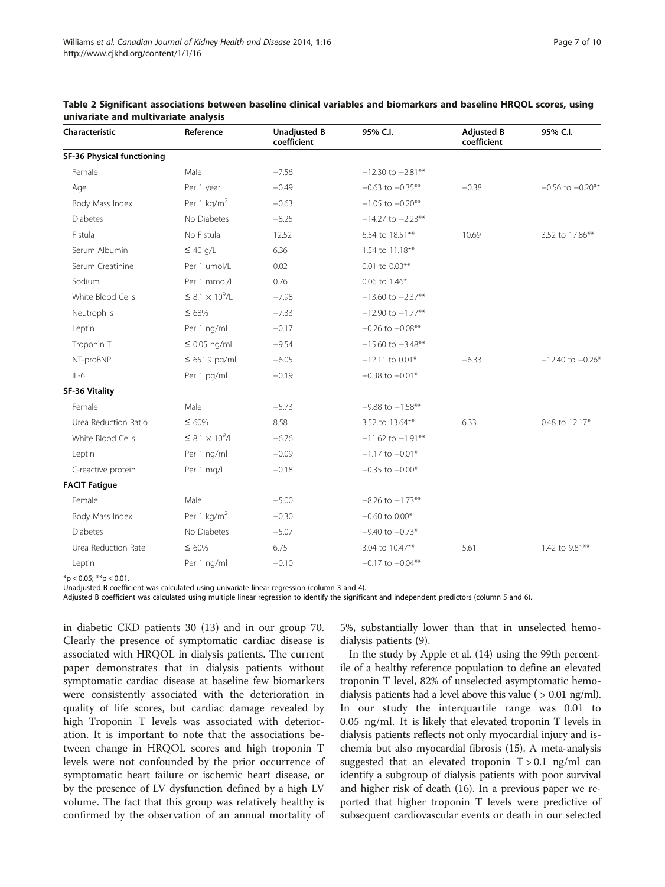| Characteristic             | Reference                              | <b>Unadjusted B</b><br>coefficient | 95% C.I.              | <b>Adjusted B</b><br>coefficient | 95% C.I.             |
|----------------------------|----------------------------------------|------------------------------------|-----------------------|----------------------------------|----------------------|
| SF-36 Physical functioning |                                        |                                    |                       |                                  |                      |
| Female                     | Male                                   | $-7.56$                            | $-12.30$ to $-2.81**$ |                                  |                      |
| Age                        | Per 1 year                             | $-0.49$                            | $-0.63$ to $-0.35**$  | $-0.38$                          | $-0.56$ to $-0.20**$ |
| Body Mass Index            | Per 1 $\text{kg/m}^2$                  | $-0.63$                            | $-1.05$ to $-0.20**$  |                                  |                      |
| <b>Diabetes</b>            | No Diabetes                            | $-8.25$                            | $-14.27$ to $-2.23**$ |                                  |                      |
| Fistula                    | No Fistula                             | 12.52                              | 6.54 to 18.51**       | 10.69                            | 3.52 to 17.86**      |
| Serum Albumin              | $\leq 40$ g/L                          | 6.36                               | 1.54 to 11.18**       |                                  |                      |
| Serum Creatinine           | Per 1 umol/L                           | 0.02                               | 0.01 to 0.03**        |                                  |                      |
| Sodium                     | Per 1 mmol/L                           | 0.76                               | 0.06 to 1.46*         |                                  |                      |
| White Blood Cells          | $\leq$ 8.1 $\times$ 10 <sup>9</sup> /L | $-7.98$                            | $-13.60$ to $-2.37**$ |                                  |                      |
| Neutrophils                | $\leq 68\%$                            | $-7.33$                            | $-12.90$ to $-1.77**$ |                                  |                      |
| Leptin                     | Per 1 ng/ml                            | $-0.17$                            | $-0.26$ to $-0.08**$  |                                  |                      |
| Troponin T                 | $\leq$ 0.05 ng/ml                      | $-9.54$                            | $-15.60$ to $-3.48**$ |                                  |                      |
| NT-proBNP                  | $\leq 651.9$ pg/ml                     | $-6.05$                            | $-12.11$ to 0.01*     | $-6.33$                          | $-12.40$ to $-0.26*$ |
| $IL-6$                     | Per 1 pg/ml                            | $-0.19$                            | $-0.38$ to $-0.01*$   |                                  |                      |
| SF-36 Vitality             |                                        |                                    |                       |                                  |                      |
| Female                     | Male                                   | $-5.73$                            | $-9.88$ to $-1.58**$  |                                  |                      |
| Urea Reduction Ratio       | $\leq 60\%$                            | 8.58                               | 3.52 to 13.64**       | 6.33                             | 0.48 to 12.17*       |
| White Blood Cells          | $\leq$ 8.1 $\times$ 10 <sup>9</sup> /L | $-6.76$                            | $-11.62$ to $-1.91**$ |                                  |                      |
| Leptin                     | Per 1 ng/ml                            | $-0.09$                            | $-1.17$ to $-0.01*$   |                                  |                      |
| C-reactive protein         | Per 1 mg/L                             | $-0.18$                            | $-0.35$ to $-0.00*$   |                                  |                      |
| <b>FACIT Fatigue</b>       |                                        |                                    |                       |                                  |                      |
| Female                     | Male                                   | $-5.00$                            | $-8.26$ to $-1.73**$  |                                  |                      |
| Body Mass Index            | Per 1 $\text{kg/m}^2$                  | $-0.30$                            | $-0.60$ to $0.00*$    |                                  |                      |
| <b>Diabetes</b>            | No Diabetes                            | $-5.07$                            | $-9.40$ to $-0.73*$   |                                  |                      |
| Urea Reduction Rate        | $\leq 60\%$                            | 6.75                               | 3.04 to 10.47**       | 5.61                             | 1.42 to 9.81**       |
| Leptin                     | Per 1 ng/ml                            | $-0.10$                            | $-0.17$ to $-0.04**$  |                                  |                      |

<span id="page-6-0"></span>

| Table 2 Significant associations between baseline clinical variables and biomarkers and baseline HRQOL scores, using |  |  |  |
|----------------------------------------------------------------------------------------------------------------------|--|--|--|
| univariate and multivariate analysis                                                                                 |  |  |  |

 $*$ p  $\leq$  0.05; \*\*p  $\leq$  0.01.

Unadjusted B coefficient was calculated using univariate linear regression (column 3 and 4).

Adjusted B coefficient was calculated using multiple linear regression to identify the significant and independent predictors (column 5 and 6).

in diabetic CKD patients 30 [\(13](#page-9-0)) and in our group 70. Clearly the presence of symptomatic cardiac disease is associated with HRQOL in dialysis patients. The current paper demonstrates that in dialysis patients without symptomatic cardiac disease at baseline few biomarkers were consistently associated with the deterioration in quality of life scores, but cardiac damage revealed by high Troponin T levels was associated with deterioration. It is important to note that the associations between change in HRQOL scores and high troponin T levels were not confounded by the prior occurrence of symptomatic heart failure or ischemic heart disease, or by the presence of LV dysfunction defined by a high LV volume. The fact that this group was relatively healthy is confirmed by the observation of an annual mortality of

5%, substantially lower than that in unselected hemodialysis patients [\(9](#page-9-0)).

In the study by Apple et al. ([14](#page-9-0)) using the 99th percentile of a healthy reference population to define an elevated troponin T level, 82% of unselected asymptomatic hemodialysis patients had a level above this value ( > 0.01 ng/ml). In our study the interquartile range was 0.01 to 0.05 ng/ml. It is likely that elevated troponin T levels in dialysis patients reflects not only myocardial injury and ischemia but also myocardial fibrosis ([15\)](#page-9-0). A meta-analysis suggested that an elevated troponin  $T > 0.1$  ng/ml can identify a subgroup of dialysis patients with poor survival and higher risk of death [\(16](#page-9-0)). In a previous paper we reported that higher troponin T levels were predictive of subsequent cardiovascular events or death in our selected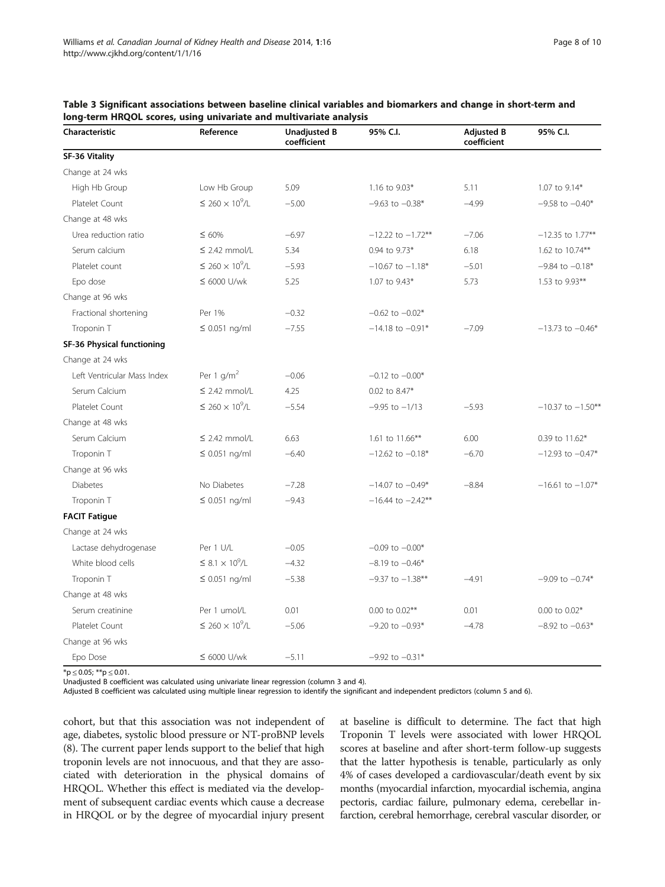| Characteristic              | Reference                              | <b>Unadjusted B</b><br>coefficient | 95% C.I.                      | <b>Adjusted B</b><br>coefficient | 95% C.I.              |
|-----------------------------|----------------------------------------|------------------------------------|-------------------------------|----------------------------------|-----------------------|
| SF-36 Vitality              |                                        |                                    |                               |                                  |                       |
| Change at 24 wks            |                                        |                                    |                               |                                  |                       |
| High Hb Group               | Low Hb Group                           | 5.09                               | 1.16 to 9.03*                 | 5.11                             | 1.07 to 9.14*         |
| Platelet Count              | $\leq$ 260 $\times$ 10 <sup>9</sup> /L | $-5.00$                            | $-9.63$ to $-0.38*$           | $-4.99$                          | $-9.58$ to $-0.40*$   |
| Change at 48 wks            |                                        |                                    |                               |                                  |                       |
| Urea reduction ratio        | $\leq 60\%$                            | $-6.97$                            | $-12.22$ to $-1.72**$         | $-7.06$                          | $-12.35$ to 1.77**    |
| Serum calcium               | $\leq$ 2.42 mmol/L                     | 5.34                               | 0.94 to 9.73*                 | 6.18                             | 1.62 to 10.74**       |
| Platelet count              | $\leq$ 260 $\times$ 10 <sup>9</sup> /L | $-5.93$                            | $-10.67$ to $-1.18*$          | $-5.01$                          | $-9.84$ to $-0.18*$   |
| Epo dose                    | $\leq 6000$ U/wk                       | 5.25                               | 1.07 to 9.43*                 | 5.73                             | 1.53 to 9.93**        |
| Change at 96 wks            |                                        |                                    |                               |                                  |                       |
| Fractional shortening       | Per 1%                                 | $-0.32$                            | $-0.62$ to $-0.02*$           |                                  |                       |
| Troponin T                  | $\leq$ 0.051 ng/ml                     | $-7.55$                            | $-14.18$ to $-0.91*$          | $-7.09$                          | $-13.73$ to $-0.46*$  |
| SF-36 Physical functioning  |                                        |                                    |                               |                                  |                       |
| Change at 24 wks            |                                        |                                    |                               |                                  |                       |
| Left Ventricular Mass Index | Per 1 $q/m2$                           | $-0.06$                            | $-0.12$ to $-0.00*$           |                                  |                       |
| Serum Calcium               | $\leq$ 2.42 mmol/L                     | 4.25                               | 0.02 to 8.47*                 |                                  |                       |
| Platelet Count              | $\leq$ 260 $\times$ 10 <sup>9</sup> /L | $-5.54$                            | $-9.95$ to $-1/13$<br>$-5.93$ |                                  | $-10.37$ to $-1.50**$ |
| Change at 48 wks            |                                        |                                    |                               |                                  |                       |
| Serum Calcium               | $\leq$ 2.42 mmol/L                     | 6.63                               | 1.61 to 11.66**               | 6.00                             | 0.39 to 11.62*        |
| Troponin T                  | $\leq$ 0.051 ng/ml                     | $-6.40$                            | $-12.62$ to $-0.18*$          | $-6.70$                          | $-12.93$ to $-0.47*$  |
| Change at 96 wks            |                                        |                                    |                               |                                  |                       |
| <b>Diabetes</b>             | No Diabetes                            | $-7.28$                            | $-14.07$ to $-0.49*$          | $-8.84$                          | $-16.61$ to $-1.07*$  |
| Troponin T                  | $\leq 0.051$ ng/ml                     | $-9.43$                            | $-16.44$ to $-2.42**$         |                                  |                       |
| <b>FACIT Fatigue</b>        |                                        |                                    |                               |                                  |                       |
| Change at 24 wks            |                                        |                                    |                               |                                  |                       |
| Lactase dehydrogenase       | Per 1 U/L                              | $-0.05$                            | $-0.09$ to $-0.00*$           |                                  |                       |
| White blood cells           | $\leq$ 8.1 $\times$ 10 <sup>9</sup> /L | $-4.32$                            | $-8.19$ to $-0.46*$           |                                  |                       |
| Troponin T                  | $\leq$ 0.051 ng/ml                     | $-5.38$                            | $-9.37$ to $-1.38**$          | $-4.91$                          | $-9.09$ to $-0.74*$   |
| Change at 48 wks            |                                        |                                    |                               |                                  |                       |
| Serum creatinine            | Per 1 umol/L                           | 0.01                               | $0.00$ to $0.02**$            | 0.01                             | 0.00 to 0.02*         |
| Platelet Count              | $\leq$ 260 $\times$ 10 <sup>9</sup> /L | $-5.06$                            | $-9.20$ to $-0.93*$           | $-4.78$                          | $-8.92$ to $-0.63*$   |
| Change at 96 wks            |                                        |                                    |                               |                                  |                       |
| Epo Dose                    | $\leq 6000$ U/wk                       | $-5.11$                            | $-9.92$ to $-0.31*$           |                                  |                       |

<span id="page-7-0"></span>Table 3 Significant associations between baseline clinical variables and biomarkers and change in short-term and long-term HRQOL scores, using univariate and multivariate analysis

 $*$ p  $\leq$  0.05;  $**$ p  $\leq$  0.01.

Unadjusted B coefficient was calculated using univariate linear regression (column 3 and 4).

Adjusted B coefficient was calculated using multiple linear regression to identify the significant and independent predictors (column 5 and 6).

cohort, but that this association was not independent of age, diabetes, systolic blood pressure or NT-proBNP levels ([8\)](#page-9-0). The current paper lends support to the belief that high troponin levels are not innocuous, and that they are associated with deterioration in the physical domains of HRQOL. Whether this effect is mediated via the development of subsequent cardiac events which cause a decrease in HRQOL or by the degree of myocardial injury present

at baseline is difficult to determine. The fact that high Troponin T levels were associated with lower HRQOL scores at baseline and after short-term follow-up suggests that the latter hypothesis is tenable, particularly as only 4% of cases developed a cardiovascular/death event by six months (myocardial infarction, myocardial ischemia, angina pectoris, cardiac failure, pulmonary edema, cerebellar infarction, cerebral hemorrhage, cerebral vascular disorder, or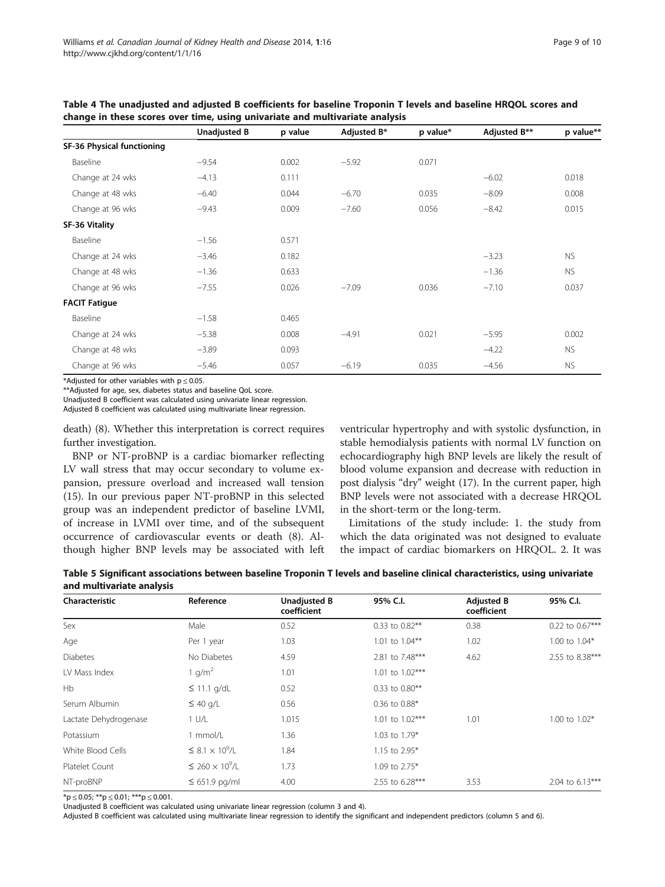|                            | <b>Unadjusted B</b> | p value | Adjusted B* | p value* | Adjusted B** | p value** |
|----------------------------|---------------------|---------|-------------|----------|--------------|-----------|
| SF-36 Physical functioning |                     |         |             |          |              |           |
| Baseline                   | $-9.54$             | 0.002   | $-5.92$     | 0.071    |              |           |
| Change at 24 wks           | $-4.13$             | 0.111   |             |          | $-6.02$      | 0.018     |
| Change at 48 wks           | $-6.40$             | 0.044   | $-6.70$     | 0.035    | $-8.09$      | 0.008     |
| Change at 96 wks           | $-9.43$             | 0.009   | $-7.60$     | 0.056    | $-8.42$      | 0.015     |
| SF-36 Vitality             |                     |         |             |          |              |           |
| Baseline                   | $-1.56$             | 0.571   |             |          |              |           |
| Change at 24 wks           | $-3.46$             | 0.182   |             |          | $-3.23$      | <b>NS</b> |
| Change at 48 wks           | $-1.36$             | 0.633   |             |          | $-1.36$      | <b>NS</b> |
| Change at 96 wks           | $-7.55$             | 0.026   | $-7.09$     | 0.036    | $-7.10$      | 0.037     |
| <b>FACIT Fatigue</b>       |                     |         |             |          |              |           |
| Baseline                   | $-1.58$             | 0.465   |             |          |              |           |
| Change at 24 wks           | $-5.38$             | 0.008   | $-4.91$     | 0.021    | $-5.95$      | 0.002     |
| Change at 48 wks           | $-3.89$             | 0.093   |             |          | $-4.22$      | <b>NS</b> |
| Change at 96 wks           | $-5.46$             | 0.057   | $-6.19$     | 0.035    | $-4.56$      | <b>NS</b> |

<span id="page-8-0"></span>Table 4 The unadjusted and adjusted B coefficients for baseline Troponin T levels and baseline HRQOL scores and change in these scores over time, using univariate and multivariate analysis

\*Adjusted for other variables with  $p \le 0.05$ .

\*\*Adjusted for age, sex, diabetes status and baseline QoL score.

Unadjusted B coefficient was calculated using univariate linear regression.

Adjusted B coefficient was calculated using multivariate linear regression.

death) [\(8](#page-9-0)). Whether this interpretation is correct requires further investigation.

BNP or NT-proBNP is a cardiac biomarker reflecting LV wall stress that may occur secondary to volume expansion, pressure overload and increased wall tension ([15\)](#page-9-0). In our previous paper NT-proBNP in this selected group was an independent predictor of baseline LVMI, of increase in LVMI over time, and of the subsequent occurrence of cardiovascular events or death ([8\)](#page-9-0). Although higher BNP levels may be associated with left ventricular hypertrophy and with systolic dysfunction, in stable hemodialysis patients with normal LV function on echocardiography high BNP levels are likely the result of blood volume expansion and decrease with reduction in post dialysis "dry" weight [\(17\)](#page-9-0). In the current paper, high BNP levels were not associated with a decrease HRQOL in the short-term or the long-term.

Limitations of the study include: 1. the study from which the data originated was not designed to evaluate the impact of cardiac biomarkers on HRQOL. 2. It was

Table 5 Significant associations between baseline Troponin T levels and baseline clinical characteristics, using univariate and multivariate analysis

| <b>Characteristic</b> | Reference                              | <b>Unadjusted B</b><br>coefficient | 95% C.I.                | <b>Adjusted B</b><br>coefficient | 95% C.I.        |  |
|-----------------------|----------------------------------------|------------------------------------|-------------------------|----------------------------------|-----------------|--|
| Sex                   | Male                                   | 0.52                               | 0.33 to 0.82**          | 0.38                             | 0.22 to 0.67*** |  |
| Age                   | Per 1 year                             | 1.03                               | 1.01 to 1.04**          | 1.02                             | 1.00 to 1.04*   |  |
| <b>Diabetes</b>       | No Diabetes                            | 4.59                               | 2.81 to 7.48***         | 4.62                             | 2.55 to 8.38*** |  |
| LV Mass Index         | 1 g/m <sup>2</sup>                     | 1.01                               | 1.01 to 1.02***         |                                  |                 |  |
| Hb                    | $\leq$ 11.1 g/dL                       | 0.52                               | 0.33 to 0.80**          |                                  |                 |  |
| Serum Albumin         | $\leq 40$ g/L                          | 0.56                               | 0.36 to 0.88*           |                                  |                 |  |
| Lactate Dehydrogenase | 1 U/L                                  | 1.015                              | 1.01 to 1.02***<br>1.01 |                                  | 1.00 to 1.02*   |  |
| Potassium             | 1 mmol/L                               | 1.36                               | 1.03 to 1.79*           |                                  |                 |  |
| White Blood Cells     | $\leq$ 8.1 $\times$ 10 <sup>9</sup> /L | 1.84                               | 1.15 to 2.95*           |                                  |                 |  |
| Platelet Count        | $\leq$ 260 $\times$ 10 <sup>9</sup> /L | 1.73                               | 1.09 to 2.75*           |                                  |                 |  |
| NT-proBNP             | $\leq 651.9$ pg/ml                     | 4.00                               | 2.55 to 6.28***         | 3.53                             | 2.04 to 6.13*** |  |

 $*p \le 0.05$ ;  $**p \le 0.01$ ;  $***p \le 0.001$ .

Unadjusted B coefficient was calculated using univariate linear regression (column 3 and 4).

Adjusted B coefficient was calculated using multivariate linear regression to identify the significant and independent predictors (column 5 and 6).